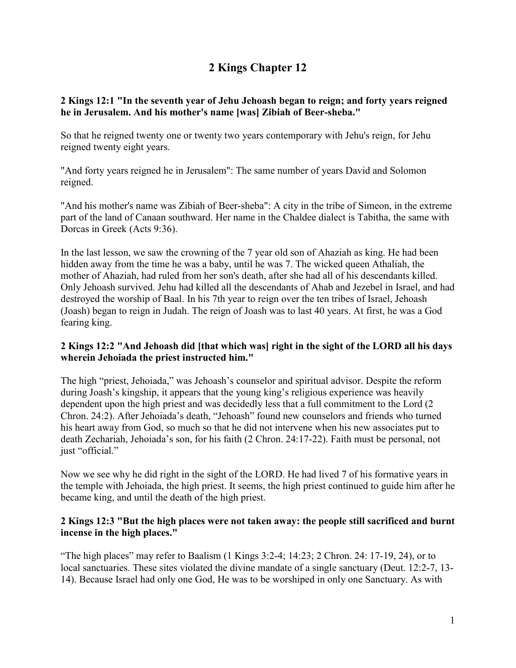# **2 Kings Chapter 12**

#### **2 Kings 12:1 "In the seventh year of Jehu Jehoash began to reign; and forty years reigned he in Jerusalem. And his mother's name [was] Zibiah of Beer-sheba."**

So that he reigned twenty one or twenty two years contemporary with Jehu's reign, for Jehu reigned twenty eight years.

"And forty years reigned he in Jerusalem": The same number of years David and Solomon reigned.

"And his mother's name was Zibiah of Beer-sheba": A city in the tribe of Simeon, in the extreme part of the land of Canaan southward. Her name in the Chaldee dialect is Tabitha, the same with Dorcas in Greek (Acts 9:36).

In the last lesson, we saw the crowning of the 7 year old son of Ahaziah as king. He had been hidden away from the time he was a baby, until he was 7. The wicked queen Athaliah, the mother of Ahaziah, had ruled from her son's death, after she had all of his descendants killed. Only Jehoash survived. Jehu had killed all the descendants of Ahab and Jezebel in Israel, and had destroyed the worship of Baal. In his 7th year to reign over the ten tribes of Israel, Jehoash (Joash) began to reign in Judah. The reign of Joash was to last 40 years. At first, he was a God fearing king.

## **2 Kings 12:2 "And Jehoash did [that which was] right in the sight of the LORD all his days wherein Jehoiada the priest instructed him."**

The high "priest, Jehoiada," was Jehoash's counselor and spiritual advisor. Despite the reform during Joash's kingship, it appears that the young king's religious experience was heavily dependent upon the high priest and was decidedly less that a full commitment to the Lord (2 Chron. 24:2). After Jehoiada's death, "Jehoash" found new counselors and friends who turned his heart away from God, so much so that he did not intervene when his new associates put to death Zechariah, Jehoiada's son, for his faith (2 Chron. 24:17-22). Faith must be personal, not just "official."

Now we see why he did right in the sight of the LORD. He had lived 7 of his formative years in the temple with Jehoiada, the high priest. It seems, the high priest continued to guide him after he became king, and until the death of the high priest.

#### **2 Kings 12:3 "But the high places were not taken away: the people still sacrificed and burnt incense in the high places."**

"The high places" may refer to Baalism (1 Kings 3:2-4; 14:23; 2 Chron. 24: 17-19, 24), or to local sanctuaries. These sites violated the divine mandate of a single sanctuary (Deut. 12:2-7, 13-14). Because Israel had only one God, He was to be worshiped in only one Sanctuary. As with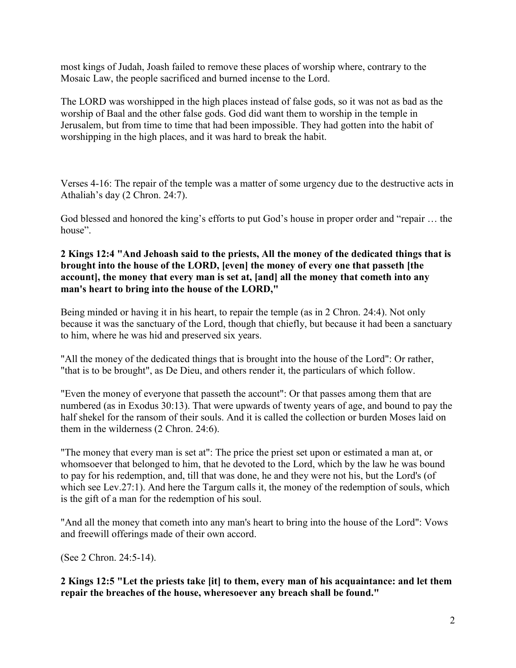most kings of Judah, Joash failed to remove these places of worship where, contrary to the Mosaic Law, the people sacrificed and burned incense to the Lord.

The LORD was worshipped in the high places instead of false gods, so it was not as bad as the worship of Baal and the other false gods. God did want them to worship in the temple in Jerusalem, but from time to time that had been impossible. They had gotten into the habit of worshipping in the high places, and it was hard to break the habit.

Verses 4-16: The repair of the temple was a matter of some urgency due to the destructive acts in Athaliah's day (2 Chron. 24:7).

God blessed and honored the king's efforts to put God's house in proper order and "repair … the house".

#### **2 Kings 12:4 "And Jehoash said to the priests, All the money of the dedicated things that is brought into the house of the LORD, [even] the money of every one that passeth [the account], the money that every man is set at, [and] all the money that cometh into any man's heart to bring into the house of the LORD,"**

Being minded or having it in his heart, to repair the temple (as in 2 Chron. 24:4). Not only because it was the sanctuary of the Lord, though that chiefly, but because it had been a sanctuary to him, where he was hid and preserved six years.

"All the money of the dedicated things that is brought into the house of the Lord": Or rather, "that is to be brought", as De Dieu, and others render it, the particulars of which follow.

"Even the money of everyone that passeth the account": Or that passes among them that are numbered (as in Exodus 30:13). That were upwards of twenty years of age, and bound to pay the half shekel for the ransom of their souls. And it is called the collection or burden Moses laid on them in the wilderness (2 Chron. 24:6).

"The money that every man is set at": The price the priest set upon or estimated a man at, or whomsoever that belonged to him, that he devoted to the Lord, which by the law he was bound to pay for his redemption, and, till that was done, he and they were not his, but the Lord's (of which see Lev.27:1). And here the Targum calls it, the money of the redemption of souls, which is the gift of a man for the redemption of his soul.

"And all the money that cometh into any man's heart to bring into the house of the Lord": Vows and freewill offerings made of their own accord.

(See 2 Chron. 24:5-14).

**2 Kings 12:5 "Let the priests take [it] to them, every man of his acquaintance: and let them repair the breaches of the house, wheresoever any breach shall be found."**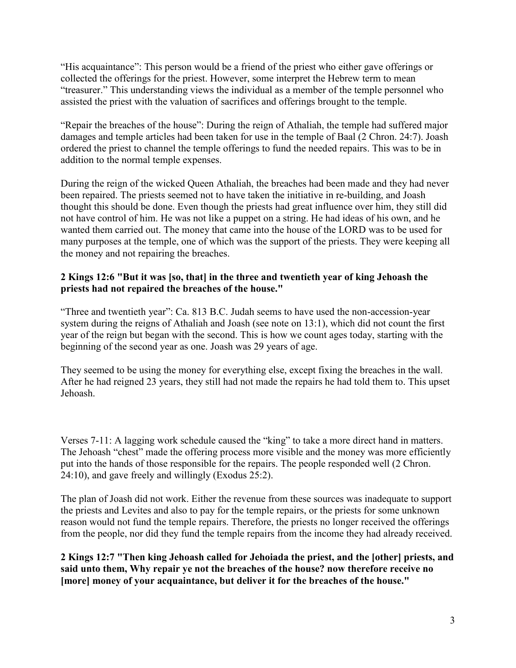"His acquaintance": This person would be a friend of the priest who either gave offerings or collected the offerings for the priest. However, some interpret the Hebrew term to mean "treasurer." This understanding views the individual as a member of the temple personnel who assisted the priest with the valuation of sacrifices and offerings brought to the temple.

"Repair the breaches of the house": During the reign of Athaliah, the temple had suffered major damages and temple articles had been taken for use in the temple of Baal (2 Chron. 24:7). Joash ordered the priest to channel the temple offerings to fund the needed repairs. This was to be in addition to the normal temple expenses.

During the reign of the wicked Queen Athaliah, the breaches had been made and they had never been repaired. The priests seemed not to have taken the initiative in re-building, and Joash thought this should be done. Even though the priests had great influence over him, they still did not have control of him. He was not like a puppet on a string. He had ideas of his own, and he wanted them carried out. The money that came into the house of the LORD was to be used for many purposes at the temple, one of which was the support of the priests. They were keeping all the money and not repairing the breaches.

## **2 Kings 12:6 "But it was [so, that] in the three and twentieth year of king Jehoash the priests had not repaired the breaches of the house."**

"Three and twentieth year": Ca. 813 B.C. Judah seems to have used the non-accession-year system during the reigns of Athaliah and Joash (see note on 13:1), which did not count the first year of the reign but began with the second. This is how we count ages today, starting with the beginning of the second year as one. Joash was 29 years of age.

They seemed to be using the money for everything else, except fixing the breaches in the wall. After he had reigned 23 years, they still had not made the repairs he had told them to. This upset Jehoash.

Verses 7-11: A lagging work schedule caused the "king" to take a more direct hand in matters. The Jehoash "chest" made the offering process more visible and the money was more efficiently put into the hands of those responsible for the repairs. The people responded well (2 Chron. 24:10), and gave freely and willingly (Exodus 25:2).

The plan of Joash did not work. Either the revenue from these sources was inadequate to support the priests and Levites and also to pay for the temple repairs, or the priests for some unknown reason would not fund the temple repairs. Therefore, the priests no longer received the offerings from the people, nor did they fund the temple repairs from the income they had already received.

**2 Kings 12:7 "Then king Jehoash called for Jehoiada the priest, and the [other] priests, and said unto them, Why repair ye not the breaches of the house? now therefore receive no [more] money of your acquaintance, but deliver it for the breaches of the house."**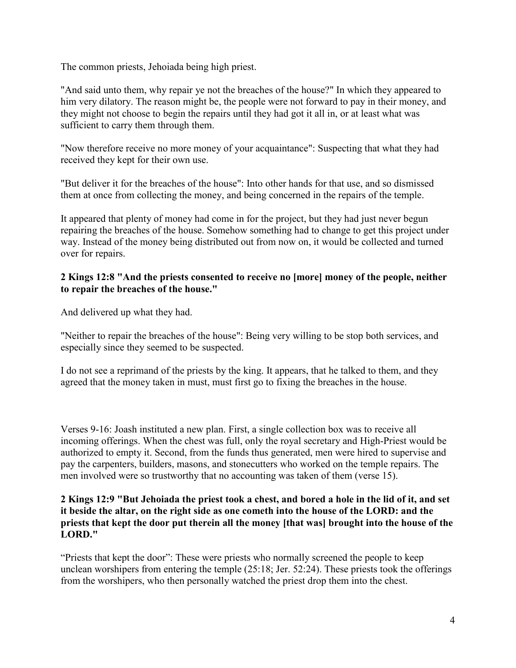The common priests, Jehoiada being high priest.

"And said unto them, why repair ye not the breaches of the house?" In which they appeared to him very dilatory. The reason might be, the people were not forward to pay in their money, and they might not choose to begin the repairs until they had got it all in, or at least what was sufficient to carry them through them.

"Now therefore receive no more money of your acquaintance": Suspecting that what they had received they kept for their own use.

"But deliver it for the breaches of the house": Into other hands for that use, and so dismissed them at once from collecting the money, and being concerned in the repairs of the temple.

It appeared that plenty of money had come in for the project, but they had just never begun repairing the breaches of the house. Somehow something had to change to get this project under way. Instead of the money being distributed out from now on, it would be collected and turned over for repairs.

#### **2 Kings 12:8 "And the priests consented to receive no [more] money of the people, neither to repair the breaches of the house."**

And delivered up what they had.

"Neither to repair the breaches of the house": Being very willing to be stop both services, and especially since they seemed to be suspected.

I do not see a reprimand of the priests by the king. It appears, that he talked to them, and they agreed that the money taken in must, must first go to fixing the breaches in the house.

Verses 9-16: Joash instituted a new plan. First, a single collection box was to receive all incoming offerings. When the chest was full, only the royal secretary and High-Priest would be authorized to empty it. Second, from the funds thus generated, men were hired to supervise and pay the carpenters, builders, masons, and stonecutters who worked on the temple repairs. The men involved were so trustworthy that no accounting was taken of them (verse 15).

#### **2 Kings 12:9 "But Jehoiada the priest took a chest, and bored a hole in the lid of it, and set it beside the altar, on the right side as one cometh into the house of the LORD: and the priests that kept the door put therein all the money [that was] brought into the house of the LORD."**

"Priests that kept the door": These were priests who normally screened the people to keep unclean worshipers from entering the temple (25:18; Jer. 52:24). These priests took the offerings from the worshipers, who then personally watched the priest drop them into the chest.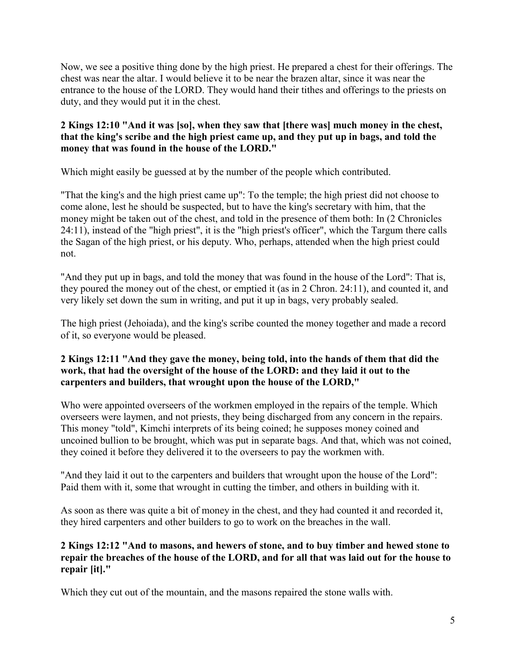Now, we see a positive thing done by the high priest. He prepared a chest for their offerings. The chest was near the altar. I would believe it to be near the brazen altar, since it was near the entrance to the house of the LORD. They would hand their tithes and offerings to the priests on duty, and they would put it in the chest.

## **2 Kings 12:10 "And it was [so], when they saw that [there was] much money in the chest, that the king's scribe and the high priest came up, and they put up in bags, and told the money that was found in the house of the LORD."**

Which might easily be guessed at by the number of the people which contributed.

"That the king's and the high priest came up": To the temple; the high priest did not choose to come alone, lest he should be suspected, but to have the king's secretary with him, that the money might be taken out of the chest, and told in the presence of them both: In (2 Chronicles 24:11), instead of the "high priest", it is the "high priest's officer", which the Targum there calls the Sagan of the high priest, or his deputy. Who, perhaps, attended when the high priest could not.

"And they put up in bags, and told the money that was found in the house of the Lord": That is, they poured the money out of the chest, or emptied it (as in 2 Chron. 24:11), and counted it, and very likely set down the sum in writing, and put it up in bags, very probably sealed.

The high priest (Jehoiada), and the king's scribe counted the money together and made a record of it, so everyone would be pleased.

## **2 Kings 12:11 "And they gave the money, being told, into the hands of them that did the work, that had the oversight of the house of the LORD: and they laid it out to the carpenters and builders, that wrought upon the house of the LORD,"**

Who were appointed overseers of the workmen employed in the repairs of the temple. Which overseers were laymen, and not priests, they being discharged from any concern in the repairs. This money "told", Kimchi interprets of its being coined; he supposes money coined and uncoined bullion to be brought, which was put in separate bags. And that, which was not coined, they coined it before they delivered it to the overseers to pay the workmen with.

"And they laid it out to the carpenters and builders that wrought upon the house of the Lord": Paid them with it, some that wrought in cutting the timber, and others in building with it.

As soon as there was quite a bit of money in the chest, and they had counted it and recorded it, they hired carpenters and other builders to go to work on the breaches in the wall.

## **2 Kings 12:12 "And to masons, and hewers of stone, and to buy timber and hewed stone to repair the breaches of the house of the LORD, and for all that was laid out for the house to repair [it]."**

Which they cut out of the mountain, and the masons repaired the stone walls with.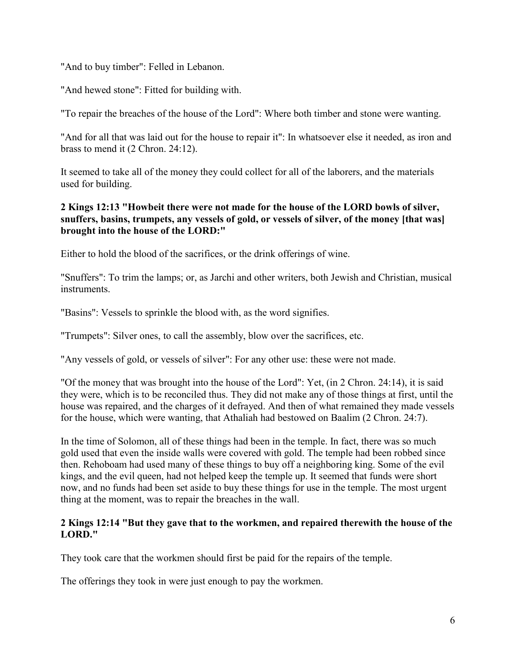"And to buy timber": Felled in Lebanon.

"And hewed stone": Fitted for building with.

"To repair the breaches of the house of the Lord": Where both timber and stone were wanting.

"And for all that was laid out for the house to repair it": In whatsoever else it needed, as iron and brass to mend it (2 Chron. 24:12).

It seemed to take all of the money they could collect for all of the laborers, and the materials used for building.

## **2 Kings 12:13 "Howbeit there were not made for the house of the LORD bowls of silver, snuffers, basins, trumpets, any vessels of gold, or vessels of silver, of the money [that was] brought into the house of the LORD:"**

Either to hold the blood of the sacrifices, or the drink offerings of wine.

"Snuffers": To trim the lamps; or, as Jarchi and other writers, both Jewish and Christian, musical instruments.

"Basins": Vessels to sprinkle the blood with, as the word signifies.

"Trumpets": Silver ones, to call the assembly, blow over the sacrifices, etc.

"Any vessels of gold, or vessels of silver": For any other use: these were not made.

"Of the money that was brought into the house of the Lord": Yet, (in 2 Chron. 24:14), it is said they were, which is to be reconciled thus. They did not make any of those things at first, until the house was repaired, and the charges of it defrayed. And then of what remained they made vessels for the house, which were wanting, that Athaliah had bestowed on Baalim (2 Chron. 24:7).

In the time of Solomon, all of these things had been in the temple. In fact, there was so much gold used that even the inside walls were covered with gold. The temple had been robbed since then. Rehoboam had used many of these things to buy off a neighboring king. Some of the evil kings, and the evil queen, had not helped keep the temple up. It seemed that funds were short now, and no funds had been set aside to buy these things for use in the temple. The most urgent thing at the moment, was to repair the breaches in the wall.

## **2 Kings 12:14 "But they gave that to the workmen, and repaired therewith the house of the LORD."**

They took care that the workmen should first be paid for the repairs of the temple.

The offerings they took in were just enough to pay the workmen.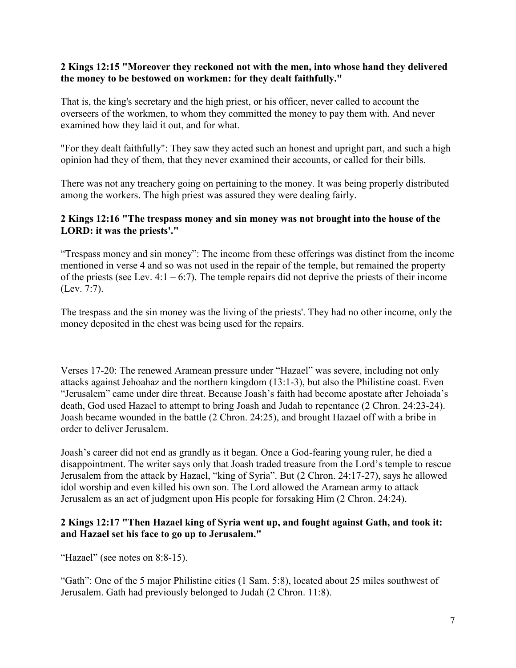#### **2 Kings 12:15 "Moreover they reckoned not with the men, into whose hand they delivered the money to be bestowed on workmen: for they dealt faithfully."**

That is, the king's secretary and the high priest, or his officer, never called to account the overseers of the workmen, to whom they committed the money to pay them with. And never examined how they laid it out, and for what.

"For they dealt faithfully": They saw they acted such an honest and upright part, and such a high opinion had they of them, that they never examined their accounts, or called for their bills.

There was not any treachery going on pertaining to the money. It was being properly distributed among the workers. The high priest was assured they were dealing fairly.

## **2 Kings 12:16 "The trespass money and sin money was not brought into the house of the LORD: it was the priests'."**

"Trespass money and sin money": The income from these offerings was distinct from the income mentioned in verse 4 and so was not used in the repair of the temple, but remained the property of the priests (see Lev.  $4:1 - 6:7$ ). The temple repairs did not deprive the priests of their income (Lev. 7:7).

The trespass and the sin money was the living of the priests'. They had no other income, only the money deposited in the chest was being used for the repairs.

Verses 17-20: The renewed Aramean pressure under "Hazael" was severe, including not only attacks against Jehoahaz and the northern kingdom (13:1-3), but also the Philistine coast. Even "Jerusalem" came under dire threat. Because Joash's faith had become apostate after Jehoiada's death, God used Hazael to attempt to bring Joash and Judah to repentance (2 Chron. 24:23-24). Joash became wounded in the battle (2 Chron. 24:25), and brought Hazael off with a bribe in order to deliver Jerusalem.

Joash's career did not end as grandly as it began. Once a God-fearing young ruler, he died a disappointment. The writer says only that Joash traded treasure from the Lord's temple to rescue Jerusalem from the attack by Hazael, "king of Syria". But (2 Chron. 24:17-27), says he allowed idol worship and even killed his own son. The Lord allowed the Aramean army to attack Jerusalem as an act of judgment upon His people for forsaking Him (2 Chron. 24:24).

## **2 Kings 12:17 "Then Hazael king of Syria went up, and fought against Gath, and took it: and Hazael set his face to go up to Jerusalem."**

"Hazael" (see notes on 8:8-15).

"Gath": One of the 5 major Philistine cities (1 Sam. 5:8), located about 25 miles southwest of Jerusalem. Gath had previously belonged to Judah (2 Chron. 11:8).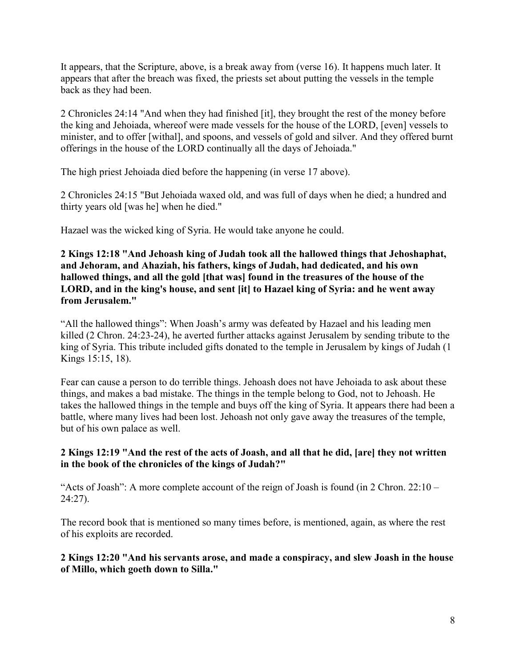It appears, that the Scripture, above, is a break away from (verse 16). It happens much later. It appears that after the breach was fixed, the priests set about putting the vessels in the temple back as they had been.

2 Chronicles 24:14 "And when they had finished [it], they brought the rest of the money before the king and Jehoiada, whereof were made vessels for the house of the LORD, [even] vessels to minister, and to offer [withal], and spoons, and vessels of gold and silver. And they offered burnt offerings in the house of the LORD continually all the days of Jehoiada."

The high priest Jehoiada died before the happening (in verse 17 above).

2 Chronicles 24:15 "But Jehoiada waxed old, and was full of days when he died; a hundred and thirty years old [was he] when he died."

Hazael was the wicked king of Syria. He would take anyone he could.

**2 Kings 12:18 "And Jehoash king of Judah took all the hallowed things that Jehoshaphat, and Jehoram, and Ahaziah, his fathers, kings of Judah, had dedicated, and his own hallowed things, and all the gold [that was] found in the treasures of the house of the LORD, and in the king's house, and sent [it] to Hazael king of Syria: and he went away from Jerusalem."**

"All the hallowed things": When Joash's army was defeated by Hazael and his leading men killed (2 Chron. 24:23-24), he averted further attacks against Jerusalem by sending tribute to the king of Syria. This tribute included gifts donated to the temple in Jerusalem by kings of Judah (1 Kings 15:15, 18).

Fear can cause a person to do terrible things. Jehoash does not have Jehoiada to ask about these things, and makes a bad mistake. The things in the temple belong to God, not to Jehoash. He takes the hallowed things in the temple and buys off the king of Syria. It appears there had been a battle, where many lives had been lost. Jehoash not only gave away the treasures of the temple, but of his own palace as well.

## **2 Kings 12:19 "And the rest of the acts of Joash, and all that he did, [are] they not written in the book of the chronicles of the kings of Judah?"**

"Acts of Joash": A more complete account of the reign of Joash is found (in  $2$  Chron.  $22:10 -$ 24:27).

The record book that is mentioned so many times before, is mentioned, again, as where the rest of his exploits are recorded.

#### **2 Kings 12:20 "And his servants arose, and made a conspiracy, and slew Joash in the house of Millo, which goeth down to Silla."**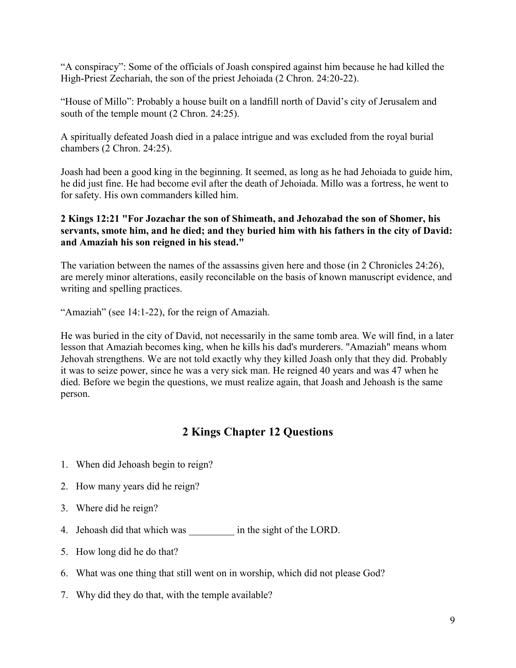"A conspiracy": Some of the officials of Joash conspired against him because he had killed the High-Priest Zechariah, the son of the priest Jehoiada (2 Chron. 24:20-22).

"House of Millo": Probably a house built on a landfill north of David's city of Jerusalem and south of the temple mount (2 Chron. 24:25).

A spiritually defeated Joash died in a palace intrigue and was excluded from the royal burial chambers (2 Chron. 24:25).

Joash had been a good king in the beginning. It seemed, as long as he had Jehoiada to guide him, he did just fine. He had become evil after the death of Jehoiada. Millo was a fortress, he went to for safety. His own commanders killed him.

## **2 Kings 12:21 "For Jozachar the son of Shimeath, and Jehozabad the son of Shomer, his servants, smote him, and he died; and they buried him with his fathers in the city of David: and Amaziah his son reigned in his stead."**

The variation between the names of the assassins given here and those (in 2 Chronicles 24:26), are merely minor alterations, easily reconcilable on the basis of known manuscript evidence, and writing and spelling practices.

"Amaziah" (see 14:1-22), for the reign of Amaziah.

He was buried in the city of David, not necessarily in the same tomb area. We will find, in a later lesson that Amaziah becomes king, when he kills his dad's murderers. "Amaziah" means whom Jehovah strengthens. We are not told exactly why they killed Joash only that they did. Probably it was to seize power, since he was a very sick man. He reigned 40 years and was 47 when he died. Before we begin the questions, we must realize again, that Joash and Jehoash is the same person.

## **2 Kings Chapter 12 Questions**

- 1. When did Jehoash begin to reign?
- 2. How many years did he reign?
- 3. Where did he reign?
- 4. Jehoash did that which was  $\frac{1}{2}$  in the sight of the LORD.
- 5. How long did he do that?
- 6. What was one thing that still went on in worship, which did not please God?
- 7. Why did they do that, with the temple available?